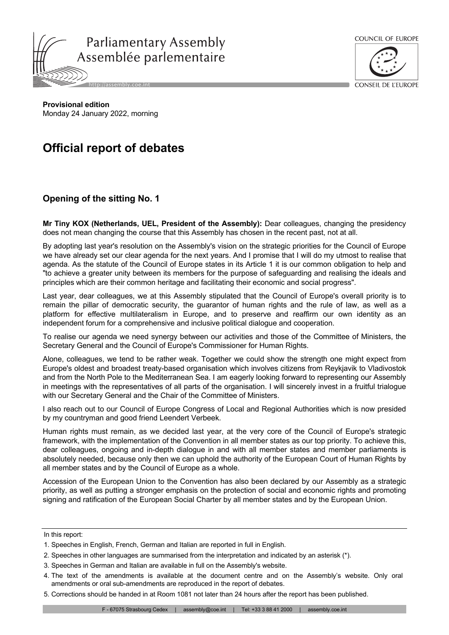



CONSEIL DE L'ELIROPE

**Provisional edition** Monday 24 January 2022, morning

## **Official report of debates**

## **Opening of the sitting No. 1**

**Mr Tiny KOX (Netherlands, UEL, President of the Assembly):** Dear colleagues, changing the presidency does not mean changing the course that this Assembly has chosen in the recent past, not at all.

By adopting last year's resolution on the Assembly's vision on the strategic priorities for the Council of Europe we have already set our clear agenda for the next years. And I promise that I will do my utmost to realise that agenda. As the statute of the Council of Europe states in its Article 1 it is our common obligation to help and "to achieve a greater unity between its members for the purpose of safeguarding and realising the ideals and principles which are their common heritage and facilitating their economic and social progress".

Last year, dear colleagues, we at this Assembly stipulated that the Council of Europe's overall priority is to remain the pillar of democratic security, the guarantor of human rights and the rule of law, as well as a platform for effective multilateralism in Europe, and to preserve and reaffirm our own identity as an independent forum for a comprehensive and inclusive political dialogue and cooperation.

To realise our agenda we need synergy between our activities and those of the Committee of Ministers, the Secretary General and the Council of Europe's Commissioner for Human Rights.

Alone, colleagues, we tend to be rather weak. Together we could show the strength one might expect from Europe's oldest and broadest treaty-based organisation which involves citizens from Reykjavik to Vladivostok and from the North Pole to the Mediterranean Sea. I am eagerly looking forward to representing our Assembly in meetings with the representatives of all parts of the organisation. I will sincerely invest in a fruitful trialogue with our Secretary General and the Chair of the Committee of Ministers.

I also reach out to our Council of Europe Congress of Local and Regional Authorities which is now presided by my countryman and good friend Leendert Verbeek.

Human rights must remain, as we decided last year, at the very core of the Council of Europe's strategic framework, with the implementation of the Convention in all member states as our top priority. To achieve this, dear colleagues, ongoing and in-depth dialogue in and with all member states and member parliaments is absolutely needed, because only then we can uphold the authority of the European Court of Human Rights by all member states and by the Council of Europe as a whole.

Accession of the European Union to the Convention has also been declared by our Assembly as a strategic priority, as well as putting a stronger emphasis on the protection of social and economic rights and promoting signing and ratification of the European Social Charter by all member states and by the European Union.

In this report:

- 3. Speeches in German and Italian are available in full on the Assembly's website.
- 4. The text of the amendments is available at the document centre and on the Assembly's website. Only oral amendments or oral sub-amendments are reproduced in the report of debates.
- 5. Corrections should be handed in at Room 1081 not later than 24 hours after the report has been published.

<sup>1.</sup> Speeches in English, French, German and Italian are reported in full in English.

<sup>2.</sup> Speeches in other languages are summarised from the interpretation and indicated by an asterisk (\*).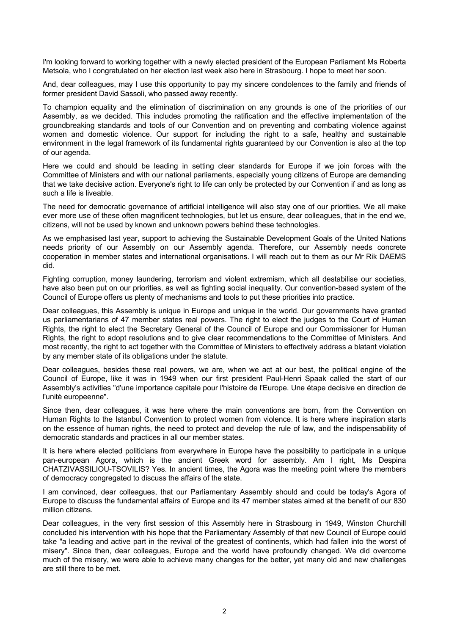I'm looking forward to working together with a newly elected president of the European Parliament Ms Roberta Metsola, who I congratulated on her election last week also here in Strasbourg. I hope to meet her soon.

And, dear colleagues, may I use this opportunity to pay my sincere condolences to the family and friends of former president David Sassoli, who passed away recently.

To champion equality and the elimination of discrimination on any grounds is one of the priorities of our Assembly, as we decided. This includes promoting the ratification and the effective implementation of the groundbreaking standards and tools of our Convention and on preventing and combating violence against women and domestic violence. Our support for including the right to a safe, healthy and sustainable environment in the legal framework of its fundamental rights guaranteed by our Convention is also at the top of our agenda.

Here we could and should be leading in setting clear standards for Europe if we join forces with the Committee of Ministers and with our national parliaments, especially young citizens of Europe are demanding that we take decisive action. Everyone's right to life can only be protected by our Convention if and as long as such a life is liveable.

The need for democratic governance of artificial intelligence will also stay one of our priorities. We all make ever more use of these often magnificent technologies, but let us ensure, dear colleagues, that in the end we, citizens, will not be used by known and unknown powers behind these technologies.

As we emphasised last year, support to achieving the Sustainable Development Goals of the United Nations needs priority of our Assembly on our Assembly agenda. Therefore, our Assembly needs concrete cooperation in member states and international organisations. I will reach out to them as our Mr Rik DAEMS did.

Fighting corruption, money laundering, terrorism and violent extremism, which all destabilise our societies, have also been put on our priorities, as well as fighting social inequality. Our convention-based system of the Council of Europe offers us plenty of mechanisms and tools to put these priorities into practice.

Dear colleagues, this Assembly is unique in Europe and unique in the world. Our governments have granted us parliamentarians of 47 member states real powers. The right to elect the judges to the Court of Human Rights, the right to elect the Secretary General of the Council of Europe and our Commissioner for Human Rights, the right to adopt resolutions and to give clear recommendations to the Committee of Ministers. And most recently, the right to act together with the Committee of Ministers to effectively address a blatant violation by any member state of its obligations under the statute.

Dear colleagues, besides these real powers, we are, when we act at our best, the political engine of the Council of Europe, like it was in 1949 when our first president Paul-Henri Spaak called the start of our Assembly's activities "d'une importance capitale pour l'histoire de l'Europe. Une étape decisive en direction de l'unitè europeenne".

Since then, dear colleagues, it was here where the main conventions are born, from the Convention on Human Rights to the Istanbul Convention to protect women from violence. It is here where inspiration starts on the essence of human rights, the need to protect and develop the rule of law, and the indispensability of democratic standards and practices in all our member states.

It is here where elected politicians from everywhere in Europe have the possibility to participate in a unique pan-european Agora, which is the ancient Greek word for assembly. Am I right, Ms Despina CHATZIVASSILIOU-TSOVILIS? Yes. In ancient times, the Agora was the meeting point where the members of democracy congregated to discuss the affairs of the state.

I am convinced, dear colleagues, that our Parliamentary Assembly should and could be today's Agora of Europe to discuss the fundamental affairs of Europe and its 47 member states aimed at the benefit of our 830 million citizens.

Dear colleagues, in the very first session of this Assembly here in Strasbourg in 1949, Winston Churchill concluded his intervention with his hope that the Parliamentary Assembly of that new Council of Europe could take "a leading and active part in the revival of the greatest of continents, which had fallen into the worst of misery". Since then, dear colleagues, Europe and the world have profoundly changed. We did overcome much of the misery, we were able to achieve many changes for the better, yet many old and new challenges are still there to be met.